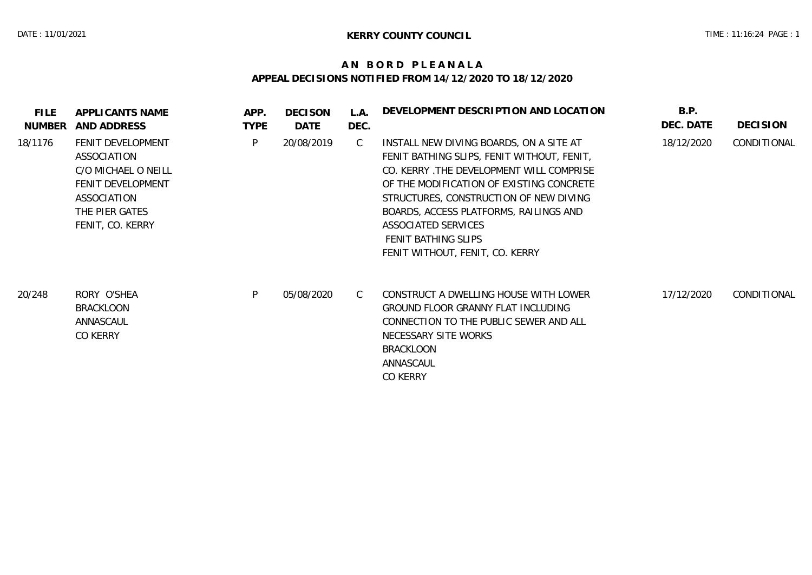## **A N B O R D P L E A N A L A APPEAL DECISIONS NOTIFIED FROM 14/12/2020 TO 18/12/2020**

| <b>FILE</b><br>NUMBER | APPLICANTS NAME<br>AND ADDRESS                                                                                                    | APP.<br><b>TYPE</b> | <b>DECISON</b><br>DATE | L.A.<br>DEC.  | DEVELOPMENT DESCRIPTION AND LOCATION                                                                                                                                                                                                                                                                                                               | B.P.<br>DEC. DATE | <b>DECISION</b> |
|-----------------------|-----------------------------------------------------------------------------------------------------------------------------------|---------------------|------------------------|---------------|----------------------------------------------------------------------------------------------------------------------------------------------------------------------------------------------------------------------------------------------------------------------------------------------------------------------------------------------------|-------------------|-----------------|
| 18/1176               | FENIT DEVELOPMENT<br>ASSOCIATION<br>C/O MICHAEL O NEILL<br>FENIT DEVELOPMENT<br>ASSOCIATION<br>THE PIER GATES<br>FENIT, CO. KERRY | P                   | 20/08/2019             | $\mathcal{C}$ | INSTALL NEW DIVING BOARDS, ON A SITE AT<br>FENIT BATHING SLIPS, FENIT WITHOUT, FENIT,<br>CO. KERRY .THE DEVELOPMENT WILL COMPRISE<br>OF THE MODIFICATION OF EXISTING CONCRETE<br>STRUCTURES, CONSTRUCTION OF NEW DIVING<br>BOARDS, ACCESS PLATFORMS, RAILINGS AND<br>ASSOCIATED SERVICES<br>FENIT BATHING SLIPS<br>FENIT WITHOUT, FENIT, CO. KERRY | 18/12/2020        | CONDITIONAL     |
| 20/248                | RORY O'SHEA<br><b>BRACKLOON</b><br>ANNASCAUL<br>CO KERRY                                                                          | P                   | 05/08/2020             | C             | CONSTRUCT A DWELLING HOUSE WITH LOWER<br>GROUND FLOOR GRANNY FLAT INCLUDING<br>CONNECTION TO THE PUBLIC SEWER AND ALL<br>NECESSARY SITE WORKS<br><b>BRACKLOON</b><br>ANNASCAUL<br>CO KERRY                                                                                                                                                         | 17/12/2020        | CONDITIONAL     |